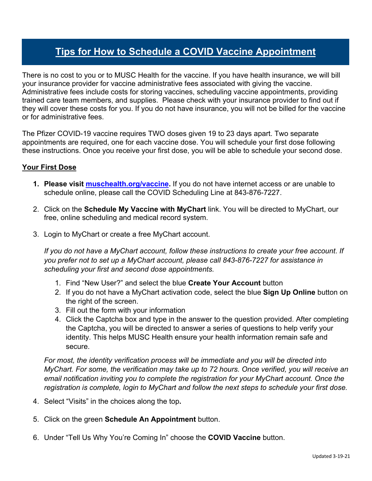## **Tips for How to Schedule a COVID Vaccine Appointment**

There is no cost to you or to MUSC Health for the vaccine. If you have health insurance, we will bill your insurance provider for vaccine administrative fees associated with giving the vaccine. Administrative fees include costs for storing vaccines, scheduling vaccine appointments, providing trained care team members, and supplies. Please check with your insurance provider to find out if they will cover these costs for you. If you do not have insurance, you will not be billed for the vaccine or for administrative fees.

The Pfizer COVID-19 vaccine requires TWO doses given 19 to 23 days apart. Two separate appointments are required, one for each vaccine dose. You will schedule your first dose following these instructions. Once you receive your first dose, you will be able to schedule your second dose.

## **Your First Dose**

- **1. Please visit muschealth.org/vaccine.** If you do not have internet access or are unable to schedule online, please call the COVID Scheduling Line at 843-876-7227.
- 2. Click on the **Schedule My Vaccine with MyChart** link. You will be directed to MyChart, our free, online scheduling and medical record system.
- 3. Login to MyChart or create a free MyChart account.

*If you do not have a MyChart account, follow these instructions to create your free account*. *If you prefer not to set up a MyChart account, please call 843-876-7227 for assistance in scheduling your first and second dose appointments.*

- 1. Find "New User?" and select the blue **Create Your Account** button
- 2. If you do not have a MyChart activation code, select the blue **Sign Up Online** button on the right of the screen.
- 3. Fill out the form with your information
- 4. Click the Captcha box and type in the answer to the question provided. After completing the Captcha, you will be directed to answer a series of questions to help verify your identity. This helps MUSC Health ensure your health information remain safe and secure.

*For most, the identity verification process will be immediate and you will be directed into MyChart. For some, the verification may take up to 72 hours. Once verified, you will receive an email notification inviting you to complete the registration for your MyChart account. Once the registration is complete, login to MyChart and follow the next steps to schedule your first dose.*

- 4. Select "Visits" in the choices along the top**.**
- 5. Click on the green **Schedule An Appointment** button.
- 6. Under "Tell Us Why You're Coming In" choose the **COVID Vaccine** button.